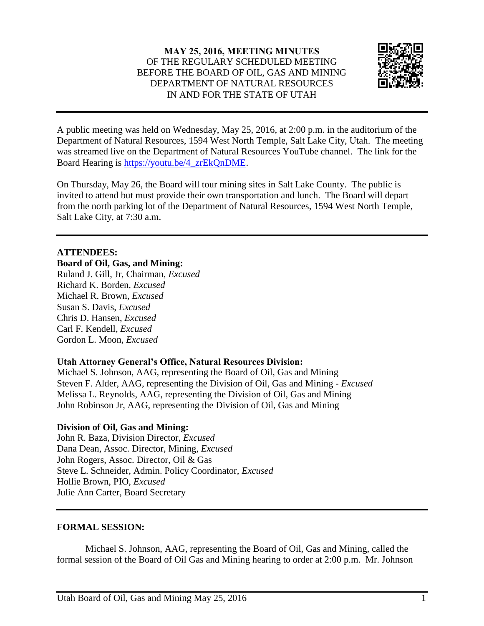# **MAY 25, 2016, MEETING MINUTES** OF THE REGULARY SCHEDULED MEETING BEFORE THE BOARD OF OIL, GAS AND MINING DEPARTMENT OF NATURAL RESOURCES IN AND FOR THE STATE OF UTAH



A public meeting was held on Wednesday, May 25, 2016, at 2:00 p.m. in the auditorium of the Department of Natural Resources, 1594 West North Temple, Salt Lake City, Utah. The meeting was streamed live on the Department of Natural Resources YouTube channel. The link for the Board Hearing is [https://youtu.be/4\\_zrEkQnDME.](https://youtu.be/4_zrEkQnDME)

On Thursday, May 26, the Board will tour mining sites in Salt Lake County. The public is invited to attend but must provide their own transportation and lunch. The Board will depart from the north parking lot of the Department of Natural Resources, 1594 West North Temple, Salt Lake City, at 7:30 a.m.

## **ATTENDEES:**

#### **Board of Oil, Gas, and Mining:**

Ruland J. Gill, Jr, Chairman*, Excused* Richard K. Borden, *Excused* Michael R. Brown, *Excused* Susan S. Davis, *Excused* Chris D. Hansen, *Excused* Carl F. Kendell, *Excused* Gordon L. Moon, *Excused*

### **Utah Attorney General's Office, Natural Resources Division:**

Michael S. Johnson, AAG, representing the Board of Oil, Gas and Mining Steven F. Alder, AAG, representing the Division of Oil, Gas and Mining *- Excused* Melissa L. Reynolds, AAG, representing the Division of Oil, Gas and Mining John Robinson Jr, AAG, representing the Division of Oil, Gas and Mining

### **Division of Oil, Gas and Mining:**

John R. Baza, Division Director, *Excused* Dana Dean, Assoc. Director, Mining, *Excused* John Rogers, Assoc. Director, Oil & Gas Steve L. Schneider, Admin. Policy Coordinator, *Excused* Hollie Brown, PIO, *Excused* Julie Ann Carter, Board Secretary

### **FORMAL SESSION:**

Michael S. Johnson, AAG, representing the Board of Oil, Gas and Mining, called the formal session of the Board of Oil Gas and Mining hearing to order at 2:00 p.m. Mr. Johnson